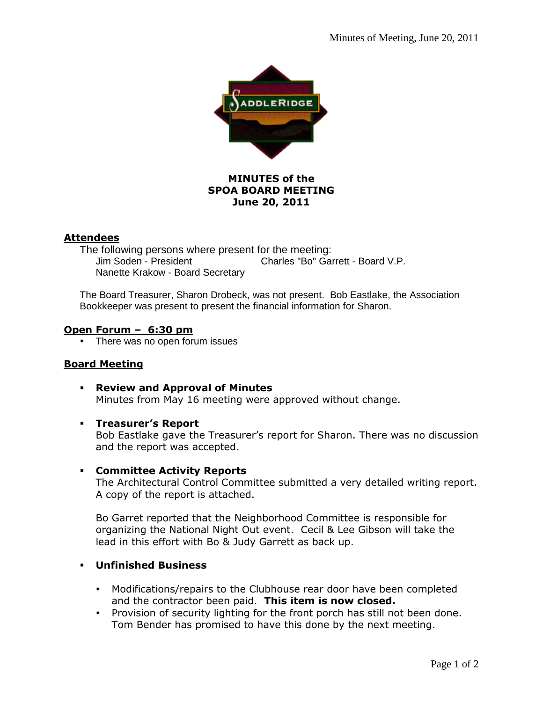

# **MINUTES of the SPOA BOARD MEETING June 20, 2011**

## **Attendees**

The following persons where present for the meeting: Jim Soden - President Charles "Bo" Garrett - Board V.P. Nanette Krakow - Board Secretary

The Board Treasurer, Sharon Drobeck, was not present. Bob Eastlake, the Association Bookkeeper was present to present the financial information for Sharon.

### **Open Forum – 6:30 pm**

• There was no open forum issues

## **Board Meeting**

- **Review and Approval of Minutes**  Minutes from May 16 meeting were approved without change.
- **Treasurer's Report**

Bob Eastlake gave the Treasurer's report for Sharon. There was no discussion and the report was accepted.

### **Committee Activity Reports**

The Architectural Control Committee submitted a very detailed writing report. A copy of the report is attached.

Bo Garret reported that the Neighborhood Committee is responsible for organizing the National Night Out event. Cecil & Lee Gibson will take the lead in this effort with Bo & Judy Garrett as back up.

- **Unfinished Business** 
	- Modifications/repairs to the Clubhouse rear door have been completed and the contractor been paid. **This item is now closed.**
	- Provision of security lighting for the front porch has still not been done. Tom Bender has promised to have this done by the next meeting.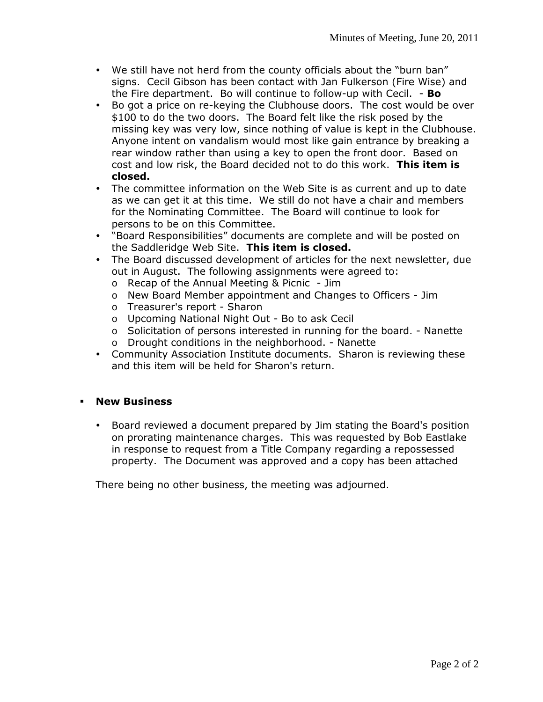- We still have not herd from the county officials about the "burn ban" signs. Cecil Gibson has been contact with Jan Fulkerson (Fire Wise) and the Fire department. Bo will continue to follow-up with Cecil. - **Bo**
- Bo got a price on re-keying the Clubhouse doors. The cost would be over \$100 to do the two doors. The Board felt like the risk posed by the missing key was very low, since nothing of value is kept in the Clubhouse. Anyone intent on vandalism would most like gain entrance by breaking a rear window rather than using a key to open the front door. Based on cost and low risk, the Board decided not to do this work. **This item is closed.**
- The committee information on the Web Site is as current and up to date as we can get it at this time. We still do not have a chair and members for the Nominating Committee. The Board will continue to look for persons to be on this Committee.
- "Board Responsibilities" documents are complete and will be posted on the Saddleridge Web Site. **This item is closed.**
- The Board discussed development of articles for the next newsletter, due out in August. The following assignments were agreed to:
	- o Recap of the Annual Meeting & Picnic Jim
	- o New Board Member appointment and Changes to Officers Jim
	- o Treasurer's report Sharon
	- o Upcoming National Night Out Bo to ask Cecil
	- o Solicitation of persons interested in running for the board. Nanette
	- o Drought conditions in the neighborhood. Nanette
- Community Association Institute documents. Sharon is reviewing these and this item will be held for Sharon's return.

### **New Business**

 Board reviewed a document prepared by Jim stating the Board's position on prorating maintenance charges. This was requested by Bob Eastlake in response to request from a Title Company regarding a repossessed property. The Document was approved and a copy has been attached

There being no other business, the meeting was adjourned.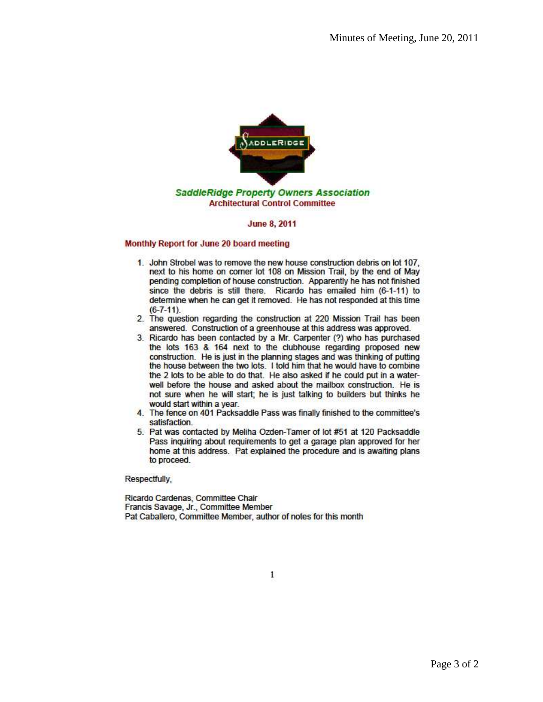

#### **June 8, 2011**

#### Monthly Report for June 20 board meeting

- 1. John Strobel was to remove the new house construction debris on lot 107. next to his home on comer lot 108 on Mission Trail, by the end of May pending completion of house construction. Apparently he has not finished since the debris is still there. Ricardo has emailed him (6-1-11) to determine when he can get it removed. He has not responded at this time  $(6 - 7 - 11)$ .
- 2. The question regarding the construction at 220 Mission Trail has been answered. Construction of a greenhouse at this address was approved.
- 3. Ricardo has been contacted by a Mr. Carpenter (?) who has purchased the lots 163 & 164 next to the clubhouse regarding proposed new construction. He is just in the planning stages and was thinking of putting the house between the two lots. I told him that he would have to combine the 2 lots to be able to do that. He also asked if he could put in a waterwell before the house and asked about the mailbox construction. He is not sure when he will start; he is just talking to builders but thinks he would start within a year.
- 4. The fence on 401 Packsaddle Pass was finally finished to the committee's satisfaction.
- 5. Pat was contacted by Meliha Ozden-Tamer of lot #51 at 120 Packsaddle Pass inquiring about requirements to get a garage plan approved for her home at this address. Pat explained the procedure and is awaiting plans to proceed.

Respectfully,

Ricardo Cardenas, Committee Chair Francis Savage, Jr., Committee Member Pat Caballero, Committee Member, author of notes for this month